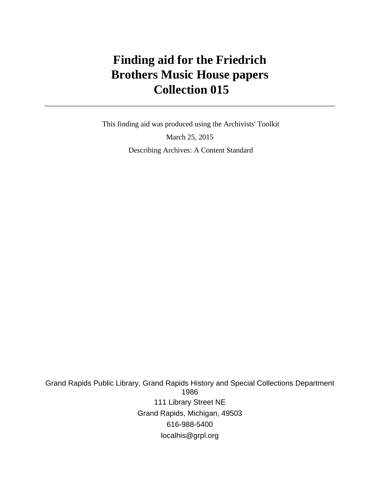# **Finding aid for the Friedrich Brothers Music House papers Collection 015**

 This finding aid was produced using the Archivists' Toolkit March 25, 2015 Describing Archives: A Content Standard

Grand Rapids Public Library, Grand Rapids History and Special Collections Department 1986 111 Library Street NE Grand Rapids, Michigan, 49503 616-988-5400 localhis@grpl.org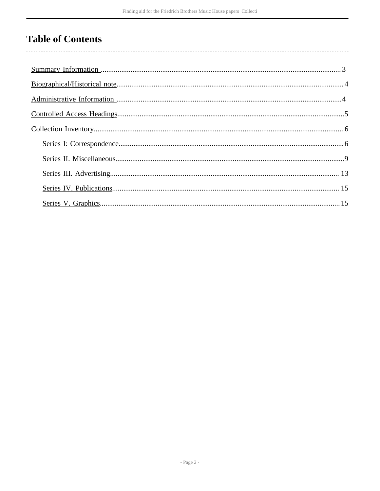# **Table of Contents**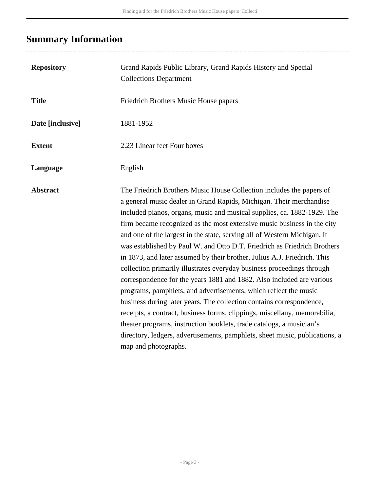# <span id="page-2-0"></span>**Summary Information**

| <b>Repository</b> | Grand Rapids Public Library, Grand Rapids History and Special<br><b>Collections Department</b>                                                                                                                                                                                                                                                                                                                                                                                                                                                                                                                                                                                                                                                                                                                                                                                                                                                                                                                                                                                                   |
|-------------------|--------------------------------------------------------------------------------------------------------------------------------------------------------------------------------------------------------------------------------------------------------------------------------------------------------------------------------------------------------------------------------------------------------------------------------------------------------------------------------------------------------------------------------------------------------------------------------------------------------------------------------------------------------------------------------------------------------------------------------------------------------------------------------------------------------------------------------------------------------------------------------------------------------------------------------------------------------------------------------------------------------------------------------------------------------------------------------------------------|
| <b>Title</b>      | Friedrich Brothers Music House papers                                                                                                                                                                                                                                                                                                                                                                                                                                                                                                                                                                                                                                                                                                                                                                                                                                                                                                                                                                                                                                                            |
| Date [inclusive]  | 1881-1952                                                                                                                                                                                                                                                                                                                                                                                                                                                                                                                                                                                                                                                                                                                                                                                                                                                                                                                                                                                                                                                                                        |
| <b>Extent</b>     | 2.23 Linear feet Four boxes                                                                                                                                                                                                                                                                                                                                                                                                                                                                                                                                                                                                                                                                                                                                                                                                                                                                                                                                                                                                                                                                      |
| Language          | English                                                                                                                                                                                                                                                                                                                                                                                                                                                                                                                                                                                                                                                                                                                                                                                                                                                                                                                                                                                                                                                                                          |
| <b>Abstract</b>   | The Friedrich Brothers Music House Collection includes the papers of<br>a general music dealer in Grand Rapids, Michigan. Their merchandise<br>included pianos, organs, music and musical supplies, ca. 1882-1929. The<br>firm became recognized as the most extensive music business in the city<br>and one of the largest in the state, serving all of Western Michigan. It<br>was established by Paul W. and Otto D.T. Friedrich as Friedrich Brothers<br>in 1873, and later assumed by their brother, Julius A.J. Friedrich. This<br>collection primarily illustrates everyday business proceedings through<br>correspondence for the years 1881 and 1882. Also included are various<br>programs, pamphlets, and advertisements, which reflect the music<br>business during later years. The collection contains correspondence,<br>receipts, a contract, business forms, clippings, miscellany, memorabilia,<br>theater programs, instruction booklets, trade catalogs, a musician's<br>directory, ledgers, advertisements, pamphlets, sheet music, publications, a<br>map and photographs. |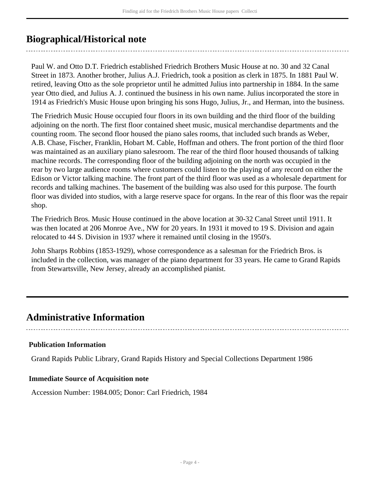# <span id="page-3-0"></span>**Biographical/Historical note**

Paul W. and Otto D.T. Friedrich established Friedrich Brothers Music House at no. 30 and 32 Canal Street in 1873. Another brother, Julius A.J. Friedrich, took a position as clerk in 1875. In 1881 Paul W. retired, leaving Otto as the sole proprietor until he admitted Julius into partnership in 1884. In the same year Otto died, and Julius A. J. continued the business in his own name. Julius incorporated the store in 1914 as Friedrich's Music House upon bringing his sons Hugo, Julius, Jr., and Herman, into the business.

The Friedrich Music House occupied four floors in its own building and the third floor of the building adjoining on the north. The first floor contained sheet music, musical merchandise departments and the counting room. The second floor housed the piano sales rooms, that included such brands as Weber, A.B. Chase, Fischer, Franklin, Hobart M. Cable, Hoffman and others. The front portion of the third floor was maintained as an auxiliary piano salesroom. The rear of the third floor housed thousands of talking machine records. The corresponding floor of the building adjoining on the north was occupied in the rear by two large audience rooms where customers could listen to the playing of any record on either the Edison or Victor talking machine. The front part of the third floor was used as a wholesale department for records and talking machines. The basement of the building was also used for this purpose. The fourth floor was divided into studios, with a large reserve space for organs. In the rear of this floor was the repair shop.

The Friedrich Bros. Music House continued in the above location at 30-32 Canal Street until 1911. It was then located at 206 Monroe Ave., NW for 20 years. In 1931 it moved to 19 S. Division and again relocated to 44 S. Division in 1937 where it remained until closing in the 1950's.

John Sharps Robbins (1853-1929), whose correspondence as a salesman for the Friedrich Bros. is included in the collection, was manager of the piano department for 33 years. He came to Grand Rapids from Stewartsville, New Jersey, already an accomplished pianist.

# <span id="page-3-1"></span>**Administrative Information**

## **Publication Information**

Grand Rapids Public Library, Grand Rapids History and Special Collections Department 1986

#### **Immediate Source of Acquisition note**

Accession Number: 1984.005; Donor: Carl Friedrich, 1984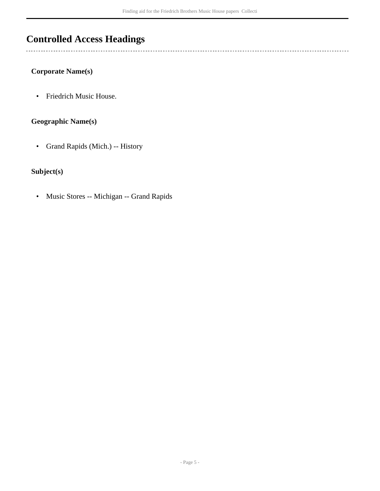# <span id="page-4-0"></span>**Controlled Access Headings**

#### **Corporate Name(s)**

 $\overline{a}$ 

• Friedrich Music House.

## **Geographic Name(s)**

• Grand Rapids (Mich.) -- History

## **Subject(s)**

• Music Stores -- Michigan -- Grand Rapids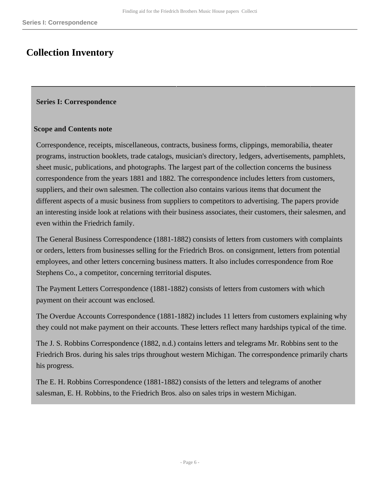## <span id="page-5-0"></span>**Collection Inventory**

#### <span id="page-5-1"></span>**Series I: Correspondence**

#### **Scope and Contents note**

Correspondence, receipts, miscellaneous, contracts, business forms, clippings, memorabilia, theater programs, instruction booklets, trade catalogs, musician's directory, ledgers, advertisements, pamphlets, sheet music, publications, and photographs. The largest part of the collection concerns the business correspondence from the years 1881 and 1882. The correspondence includes letters from customers, suppliers, and their own salesmen. The collection also contains various items that document the different aspects of a music business from suppliers to competitors to advertising. The papers provide an interesting inside look at relations with their business associates, their customers, their salesmen, and even within the Friedrich family.

The General Business Correspondence (1881-1882) consists of letters from customers with complaints or orders, letters from businesses selling for the Friedrich Bros. on consignment, letters from potential employees, and other letters concerning business matters. It also includes correspondence from Roe Stephens Co., a competitor, concerning territorial disputes.

The Payment Letters Correspondence (1881-1882) consists of letters from customers with which payment on their account was enclosed.

The Overdue Accounts Correspondence (1881-1882) includes 11 letters from customers explaining why they could not make payment on their accounts. These letters reflect many hardships typical of the time.

The J. S. Robbins Correspondence (1882, n.d.) contains letters and telegrams Mr. Robbins sent to the Friedrich Bros. during his sales trips throughout western Michigan. The correspondence primarily charts his progress.

The E. H. Robbins Correspondence (1881-1882) consists of the letters and telegrams of another salesman, E. H. Robbins, to the Friedrich Bros. also on sales trips in western Michigan.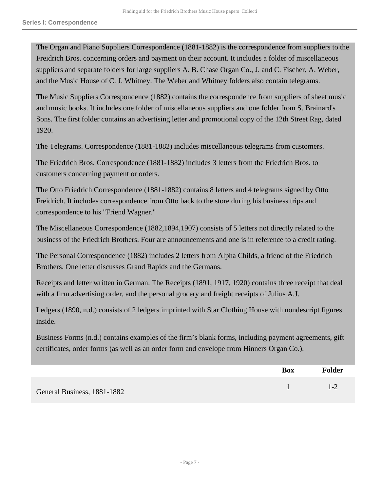The Organ and Piano Suppliers Correspondence (1881-1882) is the correspondence from suppliers to the Freidrich Bros. concerning orders and payment on their account. It includes a folder of miscellaneous suppliers and separate folders for large suppliers A. B. Chase Organ Co., J. and C. Fischer, A. Weber, and the Music House of C. J. Whitney. The Weber and Whitney folders also contain telegrams.

The Music Suppliers Correspondence (1882) contains the correspondence from suppliers of sheet music and music books. It includes one folder of miscellaneous suppliers and one folder from S. Brainard's Sons. The first folder contains an advertising letter and promotional copy of the 12th Street Rag, dated 1920.

The Telegrams. Correspondence (1881-1882) includes miscellaneous telegrams from customers.

The Friedrich Bros. Correspondence (1881-1882) includes 3 letters from the Friedrich Bros. to customers concerning payment or orders.

The Otto Friedrich Correspondence (1881-1882) contains 8 letters and 4 telegrams signed by Otto Freidrich. It includes correspondence from Otto back to the store during his business trips and correspondence to his "Friend Wagner."

The Miscellaneous Correspondence (1882,1894,1907) consists of 5 letters not directly related to the business of the Friedrich Brothers. Four are announcements and one is in reference to a credit rating.

The Personal Correspondence (1882) includes 2 letters from Alpha Childs, a friend of the Friedrich Brothers. One letter discusses Grand Rapids and the Germans.

Receipts and letter written in German. The Receipts (1891, 1917, 1920) contains three receipt that deal with a firm advertising order, and the personal grocery and freight receipts of Julius A.J.

Ledgers (1890, n.d.) consists of 2 ledgers imprinted with Star Clothing House with nondescript figures inside.

Business Forms (n.d.) contains examples of the firm's blank forms, including payment agreements, gift certificates, order forms (as well as an order form and envelope from Hinners Organ Co.).

|                             | <b>Box</b> | <b>Folder</b> |
|-----------------------------|------------|---------------|
| General Business, 1881-1882 |            | $1 - 2$       |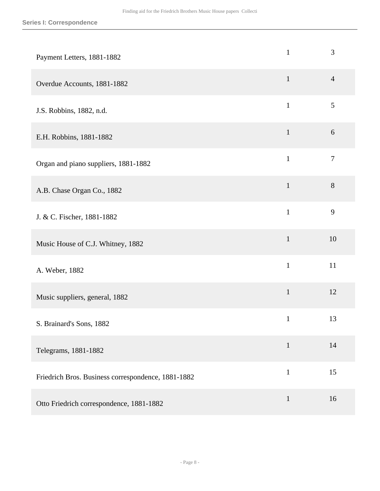| Payment Letters, 1881-1882                         | $\mathbf{1}$ | 3              |
|----------------------------------------------------|--------------|----------------|
| Overdue Accounts, 1881-1882                        | $\mathbf{1}$ | $\overline{4}$ |
| J.S. Robbins, 1882, n.d.                           | $\mathbf{1}$ | 5              |
| E.H. Robbins, 1881-1882                            | $\mathbf{1}$ | 6              |
| Organ and piano suppliers, 1881-1882               | $\mathbf{1}$ | $\overline{7}$ |
| A.B. Chase Organ Co., 1882                         | $\mathbf{1}$ | $8\,$          |
| J. & C. Fischer, 1881-1882                         | $\mathbf{1}$ | 9              |
| Music House of C.J. Whitney, 1882                  | $\mathbf{1}$ | 10             |
| A. Weber, 1882                                     | $\mathbf{1}$ | 11             |
| Music suppliers, general, 1882                     | $\mathbf{1}$ | 12             |
| S. Brainard's Sons, 1882                           | $\mathbf{1}$ | 13             |
| Telegrams, 1881-1882                               | $\mathbf{1}$ | 14             |
| Friedrich Bros. Business correspondence, 1881-1882 | $\mathbf{1}$ | 15             |
| Otto Friedrich correspondence, 1881-1882           | $\mathbf{1}$ | 16             |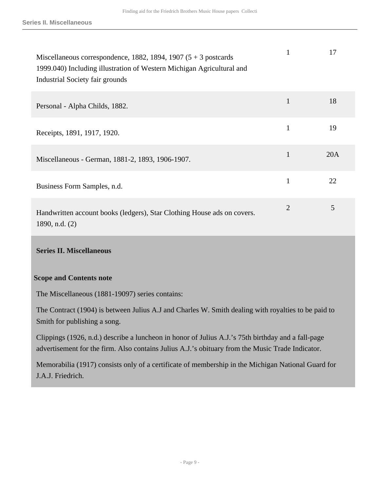| Miscellaneous correspondence, 1882, 1894, 1907 $(5 + 3$ postcards<br>1999.040) Including illustration of Western Michigan Agricultural and<br>Industrial Society fair grounds | 1              | 17  |
|-------------------------------------------------------------------------------------------------------------------------------------------------------------------------------|----------------|-----|
| Personal - Alpha Childs, 1882.                                                                                                                                                | $\mathbf{1}$   | 18  |
| Receipts, 1891, 1917, 1920.                                                                                                                                                   | 1              | 19  |
| Miscellaneous - German, 1881-2, 1893, 1906-1907.                                                                                                                              | $\mathbf{1}$   | 20A |
| Business Form Samples, n.d.                                                                                                                                                   | 1              | 22  |
| Handwritten account books (ledgers), Star Clothing House ads on covers.<br>1890, n.d. $(2)$                                                                                   | $\overline{2}$ | 5   |

#### <span id="page-8-0"></span>**Series II. Miscellaneous**

#### **Scope and Contents note**

The Miscellaneous (1881-19097) series contains:

The Contract (1904) is between Julius A.J and Charles W. Smith dealing with royalties to be paid to Smith for publishing a song.

Clippings (1926, n.d.) describe a luncheon in honor of Julius A.J.'s 75th birthday and a fall-page advertisement for the firm. Also contains Julius A.J.'s obituary from the Music Trade Indicator.

Memorabilia (1917) consists only of a certificate of membership in the Michigan National Guard for J.A.J. Friedrich.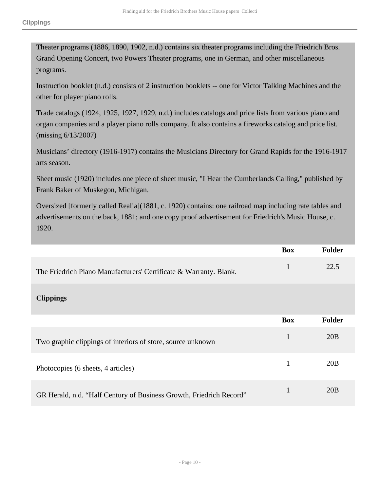Theater programs (1886, 1890, 1902, n.d.) contains six theater programs including the Friedrich Bros. Grand Opening Concert, two Powers Theater programs, one in German, and other miscellaneous programs.

Instruction booklet (n.d.) consists of 2 instruction booklets -- one for Victor Talking Machines and the other for player piano rolls.

Trade catalogs (1924, 1925, 1927, 1929, n.d.) includes catalogs and price lists from various piano and organ companies and a player piano rolls company. It also contains a fireworks catalog and price list. (missing 6/13/2007)

Musicians' directory (1916-1917) contains the Musicians Directory for Grand Rapids for the 1916-1917 arts season.

Sheet music (1920) includes one piece of sheet music, "I Hear the Cumberlands Calling," published by Frank Baker of Muskegon, Michigan.

Oversized [formerly called Realia](1881, c. 1920) contains: one railroad map including rate tables and advertisements on the back, 1881; and one copy proof advertisement for Friedrich's Music House, c. 1920.

|                                                                     | <b>Box</b>   | Folder        |
|---------------------------------------------------------------------|--------------|---------------|
| The Friedrich Piano Manufacturers' Certificate & Warranty. Blank.   | 1            | 22.5          |
| <b>Clippings</b>                                                    |              |               |
|                                                                     | <b>Box</b>   | <b>Folder</b> |
| Two graphic clippings of interiors of store, source unknown         | $\mathbf{1}$ | 20B           |
| Photocopies (6 sheets, 4 articles)                                  | 1            | 20B           |
| GR Herald, n.d. "Half Century of Business Growth, Friedrich Record" | 1            | 20B           |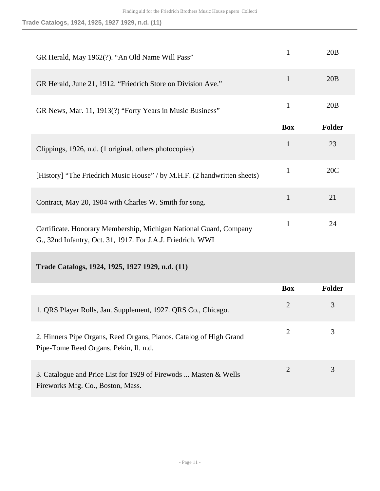**Trade Catalogs, 1924, 1925, 1927 1929, n.d. (11)**

| GR Herald, May 1962(?). "An Old Name Will Pass"                                                                                   | $\mathbf{1}$   | 20B    |
|-----------------------------------------------------------------------------------------------------------------------------------|----------------|--------|
| GR Herald, June 21, 1912. "Friedrich Store on Division Ave."                                                                      | $\mathbf{1}$   | 20B    |
| GR News, Mar. 11, 1913(?) "Forty Years in Music Business"                                                                         | $\mathbf{1}$   | 20B    |
|                                                                                                                                   | <b>Box</b>     | Folder |
| Clippings, 1926, n.d. (1 original, others photocopies)                                                                            | $\mathbf{1}$   | 23     |
| [History] "The Friedrich Music House" / by M.H.F. (2 handwritten sheets)                                                          | $\mathbf{1}$   | 20C    |
| Contract, May 20, 1904 with Charles W. Smith for song.                                                                            | $\mathbf{1}$   | 21     |
| Certificate. Honorary Membership, Michigan National Guard, Company<br>G., 32nd Infantry, Oct. 31, 1917. For J.A.J. Friedrich. WWI | $\mathbf{1}$   | 24     |
| Trade Catalogs, 1924, 1925, 1927 1929, n.d. (11)                                                                                  |                |        |
|                                                                                                                                   | <b>Box</b>     | Folder |
| 1. QRS Player Rolls, Jan. Supplement, 1927. QRS Co., Chicago.                                                                     | $\overline{2}$ | 3      |
| 2. Hinners Pipe Organs, Reed Organs, Pianos. Catalog of High Grand<br>Pipe-Tome Reed Organs. Pekin, Il. n.d.                      | 2              | 3      |
| 3. Catalogue and Price List for 1929 of Firewods  Masten & Wells<br>Fireworks Mfg. Co., Boston, Mass.                             | $\overline{2}$ | 3      |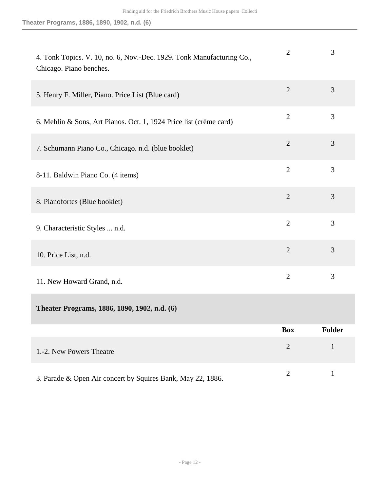| 4. Tonk Topics. V. 10, no. 6, Nov.-Dec. 1929. Tonk Manufacturing Co.,<br>Chicago. Piano benches. | $\overline{2}$ | 3             |
|--------------------------------------------------------------------------------------------------|----------------|---------------|
| 5. Henry F. Miller, Piano. Price List (Blue card)                                                | $\overline{2}$ | 3             |
| 6. Mehlin & Sons, Art Pianos. Oct. 1, 1924 Price list (crème card)                               | $\overline{2}$ | 3             |
| 7. Schumann Piano Co., Chicago. n.d. (blue booklet)                                              | $\overline{2}$ | 3             |
| 8-11. Baldwin Piano Co. (4 items)                                                                | $\overline{2}$ | 3             |
| 8. Pianofortes (Blue booklet)                                                                    | $\overline{2}$ | 3             |
| 9. Characteristic Styles  n.d.                                                                   | $\overline{2}$ | 3             |
| 10. Price List, n.d.                                                                             | $\overline{2}$ | 3             |
| 11. New Howard Grand, n.d.                                                                       | $\overline{2}$ | 3             |
| Theater Programs, 1886, 1890, 1902, n.d. (6)                                                     |                |               |
|                                                                                                  | <b>Box</b>     | <b>Folder</b> |
| 1.-2. New Powers Theatre                                                                         | $\overline{2}$ | $\mathbf{1}$  |
| 3. Parade & Open Air concert by Squires Bank, May 22, 1886.                                      | $\overline{2}$ | $\mathbf{1}$  |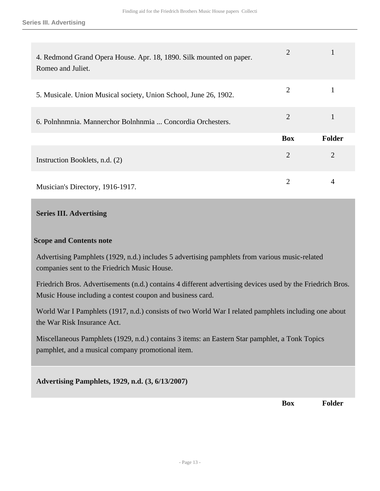| 4. Redmond Grand Opera House. Apr. 18, 1890. Silk mounted on paper.<br>Romeo and Juliet. | $\overline{2}$ |                |
|------------------------------------------------------------------------------------------|----------------|----------------|
| 5. Musicale. Union Musical society, Union School, June 26, 1902.                         | $\overline{2}$ |                |
| 6. Polnhumnia. Mannerchor Bolnhumia  Concordia Orchesters.                               | 2              |                |
|                                                                                          | <b>Box</b>     | Folder         |
| Instruction Booklets, n.d. (2)                                                           | $\overline{2}$ | $\overline{2}$ |
| Musician's Directory, 1916-1917.                                                         | 2              | 4              |

### <span id="page-12-0"></span>**Series III. Advertising**

#### **Scope and Contents note**

Advertising Pamphlets (1929, n.d.) includes 5 advertising pamphlets from various music-related companies sent to the Friedrich Music House.

Friedrich Bros. Advertisements (n.d.) contains 4 different advertising devices used by the Friedrich Bros. Music House including a contest coupon and business card.

World War I Pamphlets (1917, n.d.) consists of two World War I related pamphlets including one about the War Risk Insurance Act.

Miscellaneous Pamphlets (1929, n.d.) contains 3 items: an Eastern Star pamphlet, a Tonk Topics pamphlet, and a musical company promotional item.

**Advertising Pamphlets, 1929, n.d. (3, 6/13/2007)** 

**Box Folder**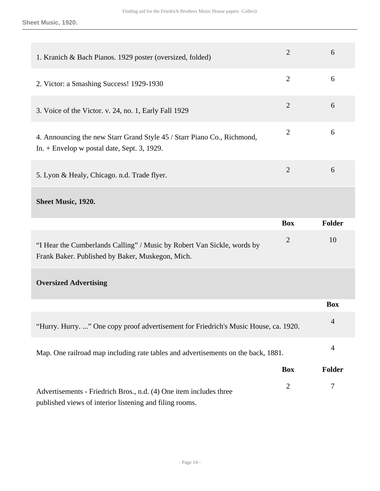**Sheet Music, 1920.**

| 1. Kranich & Bach Pianos. 1929 poster (oversized, folded)                                                                     | $\overline{2}$ | 6              |
|-------------------------------------------------------------------------------------------------------------------------------|----------------|----------------|
| 2. Victor: a Smashing Success! 1929-1930                                                                                      | $\overline{2}$ | 6              |
| 3. Voice of the Victor. v. 24, no. 1, Early Fall 1929                                                                         | $\overline{2}$ | 6              |
| 4. Announcing the new Starr Grand Style 45 / Starr Piano Co., Richmond,<br>In. $+$ Envelop w postal date, Sept. 3, 1929.      | $\overline{2}$ | 6              |
| 5. Lyon & Healy, Chicago. n.d. Trade flyer.                                                                                   | $\overline{2}$ | 6              |
| <b>Sheet Music, 1920.</b>                                                                                                     |                |                |
|                                                                                                                               | <b>Box</b>     | Folder         |
| "I Hear the Cumberlands Calling" / Music by Robert Van Sickle, words by<br>Frank Baker. Published by Baker, Muskegon, Mich.   | $\overline{2}$ | 10             |
| <b>Oversized Advertising</b>                                                                                                  |                |                |
|                                                                                                                               |                | <b>Box</b>     |
| "Hurry. Hurry. " One copy proof advertisement for Friedrich's Music House, ca. 1920.                                          |                | $\overline{4}$ |
| Map. One railroad map including rate tables and advertisements on the back, 1881.                                             |                | 4              |
|                                                                                                                               | <b>Box</b>     | <b>Folder</b>  |
| Advertisements - Friedrich Bros., n.d. (4) One item includes three<br>published views of interior listening and filing rooms. | $\overline{2}$ | 7              |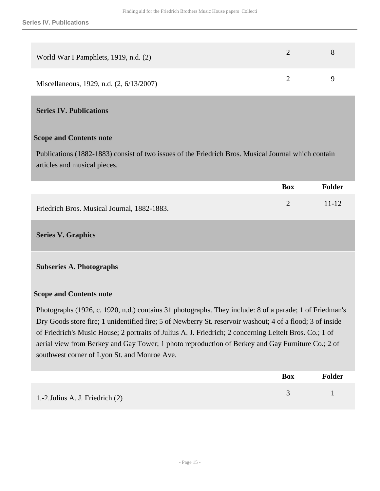| World War I Pamphlets, 1919, n.d. (2)    |  |
|------------------------------------------|--|
| Miscellaneous, 1929, n.d. (2, 6/13/2007) |  |

#### <span id="page-14-0"></span>**Series IV. Publications**

#### **Scope and Contents note**

Publications (1882-1883) consist of two issues of the Friedrich Bros. Musical Journal which contain articles and musical pieces.

|                                             | <b>Box</b> | <b>Folder</b> |
|---------------------------------------------|------------|---------------|
| Friedrich Bros. Musical Journal, 1882-1883. |            | $11 - 12$     |

#### <span id="page-14-1"></span>**Series V. Graphics**

#### **Subseries A. Photographs**

#### **Scope and Contents note**

Photographs (1926, c. 1920, n.d.) contains 31 photographs. They include: 8 of a parade; 1 of Friedman's Dry Goods store fire; 1 unidentified fire; 5 of Newberry St. reservoir washout; 4 of a flood; 3 of inside of Friedrich's Music House; 2 portraits of Julius A. J. Friedrich; 2 concerning Leitelt Bros. Co.; 1 of aerial view from Berkey and Gay Tower; 1 photo reproduction of Berkey and Gay Furniture Co.; 2 of southwest corner of Lyon St. and Monroe Ave.

|                                     | <b>Box</b> | <b>Folder</b> |
|-------------------------------------|------------|---------------|
| 1.-2. Julius A. J. Friedrich. $(2)$ |            |               |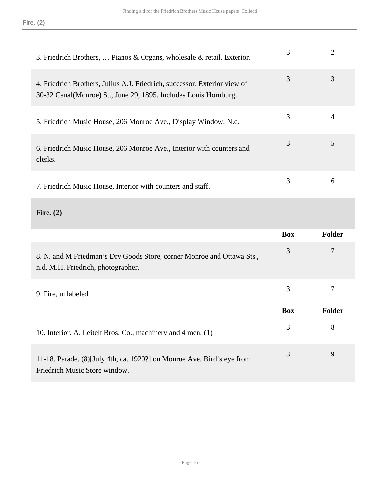| 3. Friedrich Brothers,  Pianos & Organs, wholesale & retail. Exterior.                                                                         | 3 |   |
|------------------------------------------------------------------------------------------------------------------------------------------------|---|---|
| 4. Friedrich Brothers, Julius A.J. Friedrich, successor. Exterior view of<br>30-32 Canal (Monroe) St., June 29, 1895. Includes Louis Hornburg. | 3 | 3 |
| 5. Friedrich Music House, 206 Monroe Ave., Display Window. N.d.                                                                                | 3 | 4 |
| 6. Friedrich Music House, 206 Monroe Ave., Interior with counters and<br>clerks.                                                               | 3 | 5 |
| 7. Friedrich Music House, Interior with counters and staff.                                                                                    | 3 | 6 |

**Fire. (2)** 

|                                                                                                              | <b>Box</b> | <b>Folder</b> |
|--------------------------------------------------------------------------------------------------------------|------------|---------------|
| 8. N. and M Friedman's Dry Goods Store, corner Monroe and Ottawa Sts.,<br>n.d. M.H. Friedrich, photographer. | 3          | 7             |
| 9. Fire, unlabeled.                                                                                          | 3          |               |
|                                                                                                              |            |               |
|                                                                                                              | <b>Box</b> | <b>Folder</b> |
| 10. Interior. A. Leitelt Bros. Co., machinery and 4 men. (1)                                                 | 3          | 8             |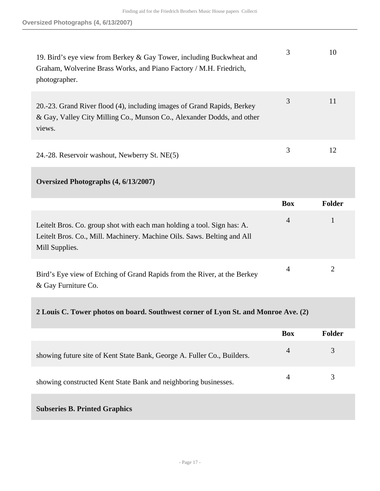| 19. Bird's eye view from Berkey & Gay Tower, including Buckwheat and<br>Graham, Wolverine Brass Works, and Piano Factory / M.H. Friedrich,<br>photographer. | 3 | 10 |
|-------------------------------------------------------------------------------------------------------------------------------------------------------------|---|----|
| 20.-23. Grand River flood (4), including images of Grand Rapids, Berkey<br>& Gay, Valley City Milling Co., Munson Co., Alexander Dodds, and other<br>views. | 3 | 11 |
| 24.-28. Reservoir washout, Newberry St. NE(5)                                                                                                               | 3 | 12 |

### **Oversized Photographs (4, 6/13/2007)**

|                                                                                                                                                                      | <b>Box</b>     | <b>Folder</b> |
|----------------------------------------------------------------------------------------------------------------------------------------------------------------------|----------------|---------------|
| Leitelt Bros. Co. group shot with each man holding a tool. Sign has: A.<br>Leitelt Bros. Co., Mill. Machinery. Machine Oils. Saws. Belting and All<br>Mill Supplies. | $\overline{4}$ |               |
| Bird's Eye view of Etching of Grand Rapids from the River, at the Berkey<br>& Gay Furniture Co.                                                                      | 4              |               |

## **2 Louis C. Tower photos on board. Southwest corner of Lyon St. and Monroe Ave. (2)**

|                                                                         | <b>Box</b>     | Folder |
|-------------------------------------------------------------------------|----------------|--------|
| showing future site of Kent State Bank, George A. Fuller Co., Builders. | $\overline{4}$ | 3      |
| showing constructed Kent State Bank and neighboring businesses.         | 4              | 3      |
| <b>Subseries B. Printed Graphics</b>                                    |                |        |